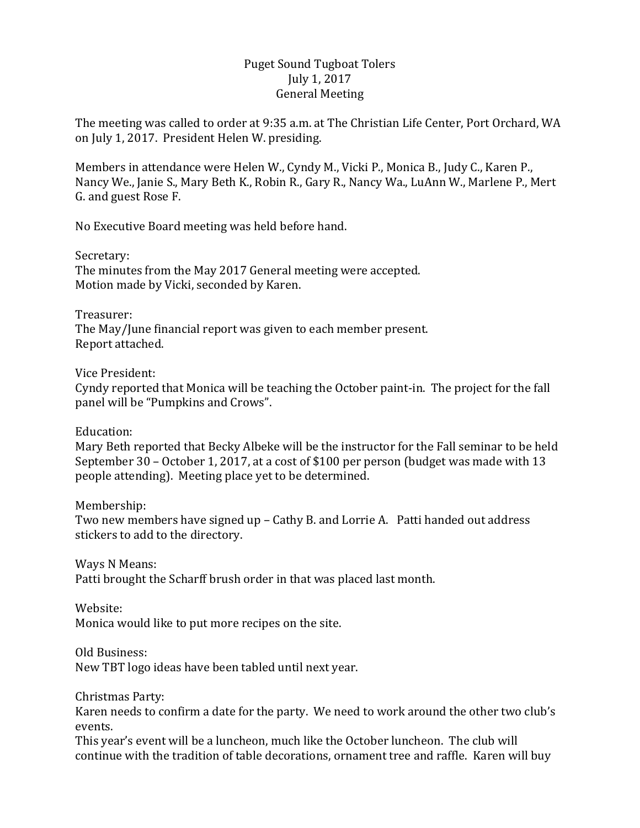## Puget Sound Tugboat Tolers July 1, 2017 General Meeting

The meeting was called to order at 9:35 a.m. at The Christian Life Center, Port Orchard, WA on July 1, 2017. President Helen W. presiding.

Members in attendance were Helen W., Cyndy M., Vicki P., Monica B., Judy C., Karen P., Nancy We., Janie S., Mary Beth K., Robin R., Gary R., Nancy Wa., LuAnn W., Marlene P., Mert G. and guest Rose F.

No Executive Board meeting was held before hand.

Secretary:

The minutes from the May 2017 General meeting were accepted. Motion made by Vicki, seconded by Karen.

Treasurer: The May/June financial report was given to each member present. Report attached.

Vice President:

Cyndy reported that Monica will be teaching the October paint-in. The project for the fall panel will be "Pumpkins and Crows".

Education:

Mary Beth reported that Becky Albeke will be the instructor for the Fall seminar to be held September  $30$  – October 1, 2017, at a cost of \$100 per person (budget was made with 13 people attending). Meeting place yet to be determined.

Membership:

Two new members have signed up - Cathy B. and Lorrie A. Patti handed out address stickers to add to the directory.

Ways N Means:

Patti brought the Scharff brush order in that was placed last month.

Website:

Monica would like to put more recipes on the site.

Old Business:

New TBT logo ideas have been tabled until next year.

Christmas Party:

Karen needs to confirm a date for the party. We need to work around the other two club's events.

This year's event will be a luncheon, much like the October luncheon. The club will continue with the tradition of table decorations, ornament tree and raffle. Karen will buy